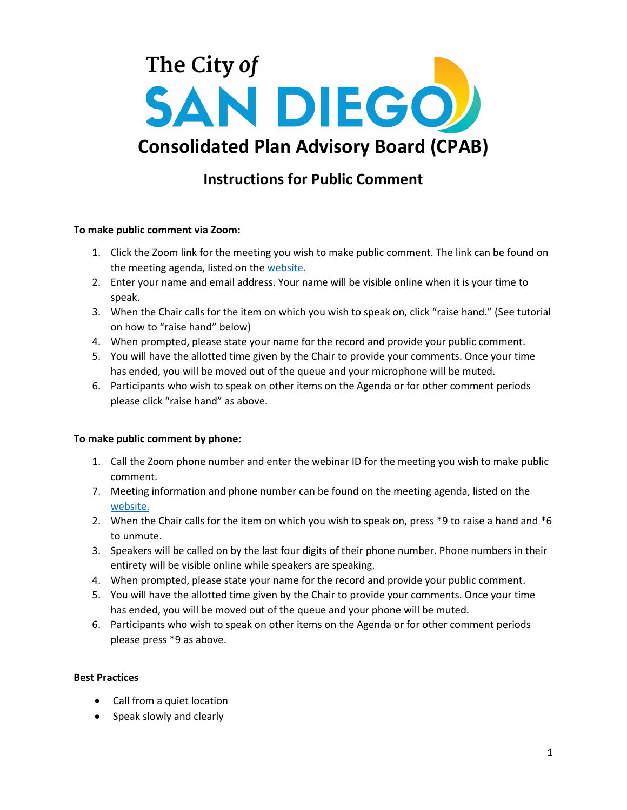

# **Instructions for Public Comment**

### **To make public comment via Zoom:**

- 1. Click the Zoom link for the meeting you wish to make public comment. The link can be found on the meeting agenda, listed on the [website.](http://www.sandiego.gov/cdbg/cpab)
- 2. Enter your name and email address. Your name will be visible online when it is your time to speak.
- 3. When the Chair calls for the item on which you wish to speak on, click "raise hand." (See tutorial on how to "raise hand" below)
- 4. When prompted, please state your name for the record and provide your public comment.
- 5. You will have the allotted time given by the Chair to provide your comments. Once your time has ended, you will be moved out of the queue and your microphone will be muted.
- 6. Participants who wish to speak on other items on the Agenda or for other comment periods please click "raise hand" as above.

#### **To make public comment by phone:**

- 1. Call the Zoom phone number and enter the webinar ID for the meeting you wish to make public comment.
- 7. Meeting information and phone number can be found on the meeting agenda, listed on the [website.](http://www.sandiego.gov/cdbg/cpab)
- 2. When the Chair calls for the item on which you wish to speak on, press  $*9$  to raise a hand and  $*6$ to unmute.
- 3. Speakers will be called on by the last four digits of their phone number. Phone numbers in their entirety will be visible online while speakers are speaking.
- 4. When prompted, please state your name for the record and provide your public comment.
- 5. You will have the allotted time given by the Chair to provide your comments. Once your time has ended, you will be moved out of the queue and your phone will be muted.
- 6. Participants who wish to speak on other items on the Agenda or for other comment periods please press \*9 as above.

## **Best Practices**

- Call from a quiet location
- Speak slowly and clearly